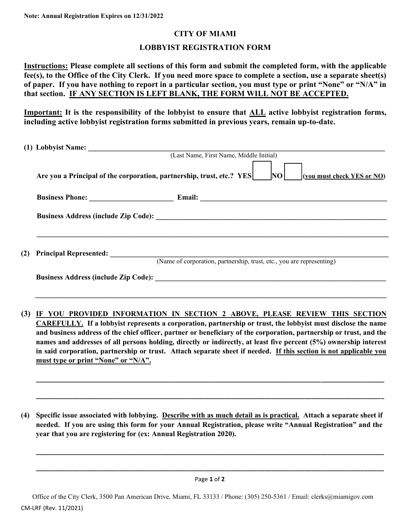## **CITY OF MIAMI**

## **LOBBYIST REGISTRATION FORM**

**Instructions: Please complete all sections of this form and submit the completed form, with the applicable fee(s), to the Office of the City Clerk. If you need more space to complete a section, use a separate sheet(s) of paper. If you have nothing to report in a particular section, you must type or print "None" or "N/A" in that section. IF ANY SECTION IS LEFT BLANK, THE FORM WILL NOT BE ACCEPTED.**

**Important: It is the responsibility of the lobbyist to ensure that ALL active lobbyist registration forms, including active lobbyist registration forms submitted in previous years, remain up-to-date.** 

|                                                                                                           | (1) Lobbyist Name: (Last Name, First Name, Middle Initial)                                                                                                                                                                                                                                                                                                                                           |                                                                                                                                                                                                                                  |  |  |  |
|-----------------------------------------------------------------------------------------------------------|------------------------------------------------------------------------------------------------------------------------------------------------------------------------------------------------------------------------------------------------------------------------------------------------------------------------------------------------------------------------------------------------------|----------------------------------------------------------------------------------------------------------------------------------------------------------------------------------------------------------------------------------|--|--|--|
| Are you a Principal of the corporation, partnership, trust, etc.? YES<br>NO<br>(you must check YES or NO) |                                                                                                                                                                                                                                                                                                                                                                                                      |                                                                                                                                                                                                                                  |  |  |  |
|                                                                                                           |                                                                                                                                                                                                                                                                                                                                                                                                      |                                                                                                                                                                                                                                  |  |  |  |
|                                                                                                           |                                                                                                                                                                                                                                                                                                                                                                                                      |                                                                                                                                                                                                                                  |  |  |  |
| (2)                                                                                                       | <b>Principal Represented:</b><br>(Name of corporation, partnership, trust, etc., you are representing)                                                                                                                                                                                                                                                                                               |                                                                                                                                                                                                                                  |  |  |  |
|                                                                                                           |                                                                                                                                                                                                                                                                                                                                                                                                      |                                                                                                                                                                                                                                  |  |  |  |
| (3)                                                                                                       | ,我们也不能在这里的人,我们也不能在这里的人,我们也不能在这里的人,我们也不能在这里的人,我们也不能在这里的人,我们也不能在这里的人,我们也不能在这里的人,我们也<br>IF YOU PROVIDED INFORMATION IN SECTION 2 ABOVE, PLEASE REVIEW THIS SECTION<br>CAREFULLY. If a lobbyist represents a corporation, partnership or trust, the lobbyist must disclose the name                                                                                                                      |                                                                                                                                                                                                                                  |  |  |  |
|                                                                                                           | and business address of the chief officer, partner or beneficiary of the corporation, partnership or trust, and the<br>names and addresses of all persons holding, directly or indirectly, at least five percent (5%) ownership interest<br>in said corporation, partnership or trust. Attach separate sheet if needed. If this section is not applicable you<br>must type or print "None" or "N/A". |                                                                                                                                                                                                                                  |  |  |  |
|                                                                                                           |                                                                                                                                                                                                                                                                                                                                                                                                      |                                                                                                                                                                                                                                  |  |  |  |
| (4)                                                                                                       |                                                                                                                                                                                                                                                                                                                                                                                                      | Specific issue associated with lobbying. Describe with as much detail as is practical. Attach a separate sheet if<br>needed. If you are using this form for your Annual Registration, please write "Annual Registration" and the |  |  |  |

**year that you are registering for (ex: Annual Registration 2020).** 

Page **1** of **2 \_\_\_\_\_\_\_\_\_\_\_\_\_\_\_\_\_\_\_\_\_\_\_\_\_\_\_\_\_\_\_\_\_\_\_\_\_\_\_\_\_\_\_\_\_\_\_\_\_\_\_\_\_\_\_\_\_\_\_\_\_\_\_\_\_\_\_\_\_\_\_\_\_\_\_\_\_\_\_\_\_\_\_\_\_\_\_\_\_\_\_\_\_\_\_\_\_\_\_\_\_\_\_\_\_**

**\_\_\_\_\_\_\_\_\_\_\_\_\_\_\_\_\_\_\_\_\_\_\_\_\_\_\_\_\_\_\_\_\_\_\_\_\_\_\_\_\_\_\_\_\_\_\_\_\_\_\_\_\_\_\_\_\_\_\_\_\_\_\_\_\_\_\_\_\_\_\_\_\_\_\_\_\_\_\_\_\_\_\_\_\_\_\_\_\_\_\_\_\_\_\_\_\_\_\_\_\_\_\_\_\_** 

 Office of the City Clerk, 3500 Pan American Drive, Miami, FL 33133 / Phone: (305) 250-5361 / Email: clerks@miamigov.com CM-LRF (Rev. 11/2021)